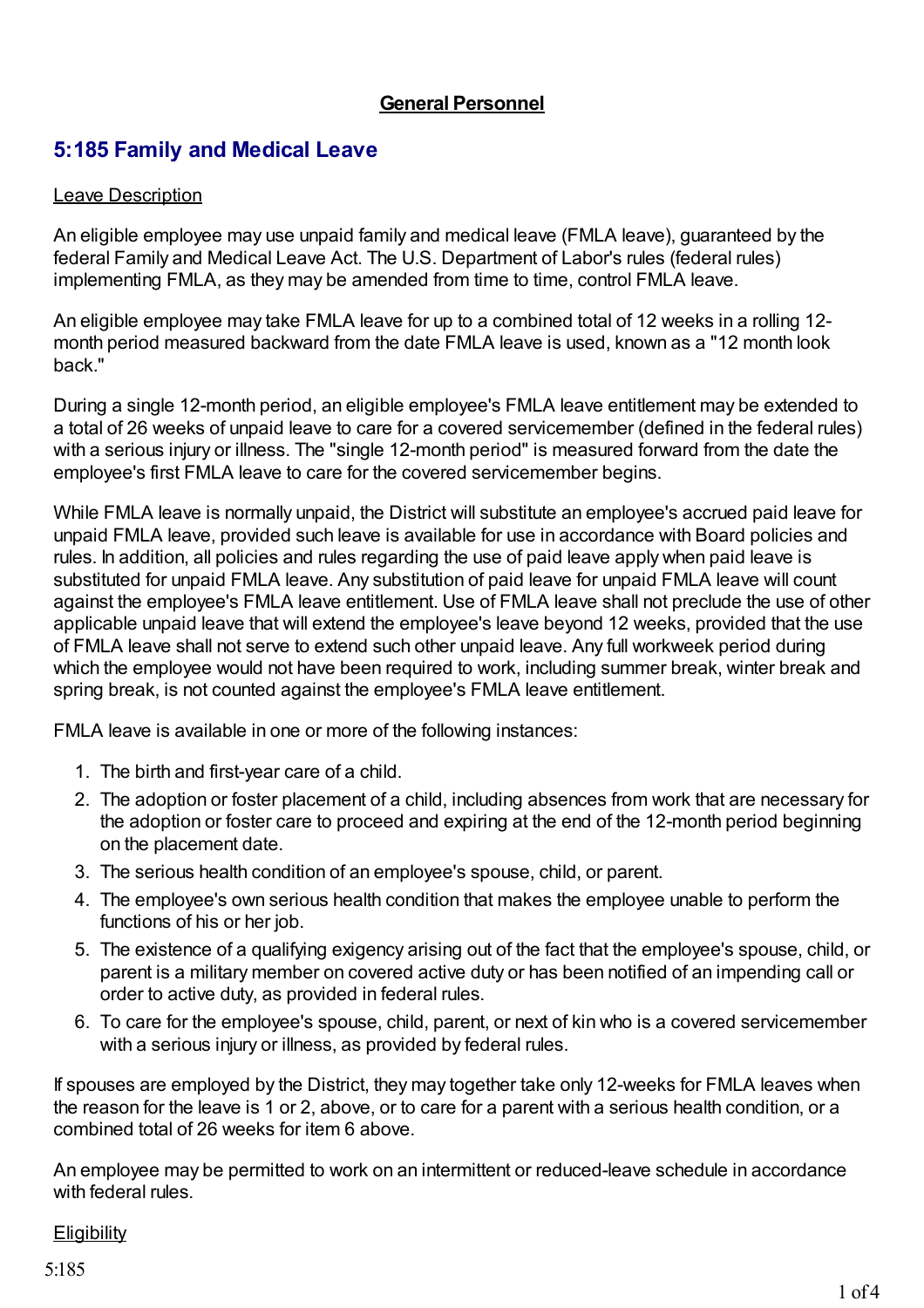## **General Personnel**

# **5:185 Family and Medical Leave**

### Leave Description

An eligible employee may use unpaid family and medical leave (FMLA leave), guaranteed by the federal Family and Medical Leave Act. The U.S. Department of Labor's rules (federal rules) implementing FMLA, as they may be amended from time to time, control FMLA leave.

An eligible employee may take FMLA leave for up to a combined total of 12 weeks in a rolling 12 month period measured backward from the date FMLA leave is used, known as a "12 month look back."

During a single 12-month period, an eligible employee's FMLA leave entitlement may be extended to a total of 26 weeks of unpaid leave to care for a covered servicemember (defined in the federal rules) with a serious injury or illness. The "single 12-month period" is measured forward from the date the employee's first FMLA leave to care for the covered servicemember begins.

While FMLA leave is normally unpaid, the District will substitute an employee's accrued paid leave for unpaid FMLA leave, provided such leave is available for use in accordance with Board policies and rules. In addition, all policies and rules regarding the use of paid leave apply when paid leave is substituted for unpaid FMLA leave. Any substitution of paid leave for unpaid FMLA leave will count against the employee's FMLA leave entitlement. Use of FMLA leave shall not preclude the use of other applicable unpaid leave that will extend the employee's leave beyond 12 weeks, provided that the use of FMLA leave shall not serve to extend such other unpaid leave. Any full workweek period during which the employee would not have been required to work, including summer break, winter break and spring break, is not counted against the employee's FMLA leave entitlement.

FMLA leave is available in one or more of the following instances:

- 1. The birth and first-year care of a child.
- 2. The adoption or foster placement of a child, including absences from work that are necessary for the adoption or foster care to proceed and expiring at the end of the 12-month period beginning on the placement date.
- 3. The serious health condition of an employee's spouse, child, or parent.
- 4. The employee's own serious health condition that makes the employee unable to perform the functions of his or her job.
- 5. The existence of a qualifying exigency arising out of the fact that the employee's spouse, child, or parent is a military member on covered active duty or has been notified of an impending call or order to active duty, as provided in federal rules.
- 6. To care for the employee's spouse, child, parent, or next of kin who is a covered servicemember with a serious injury or illness, as provided by federal rules.

If spouses are employed by the District, they may together take only 12-weeks for FMLA leaves when the reason for the leave is 1 or 2, above, or to care for a parent with a serious health condition, or a combined total of 26 weeks for item 6 above.

An employee may be permitted to work on an intermittent or reduced-leave schedule in accordance with federal rules.

## **Eligibility**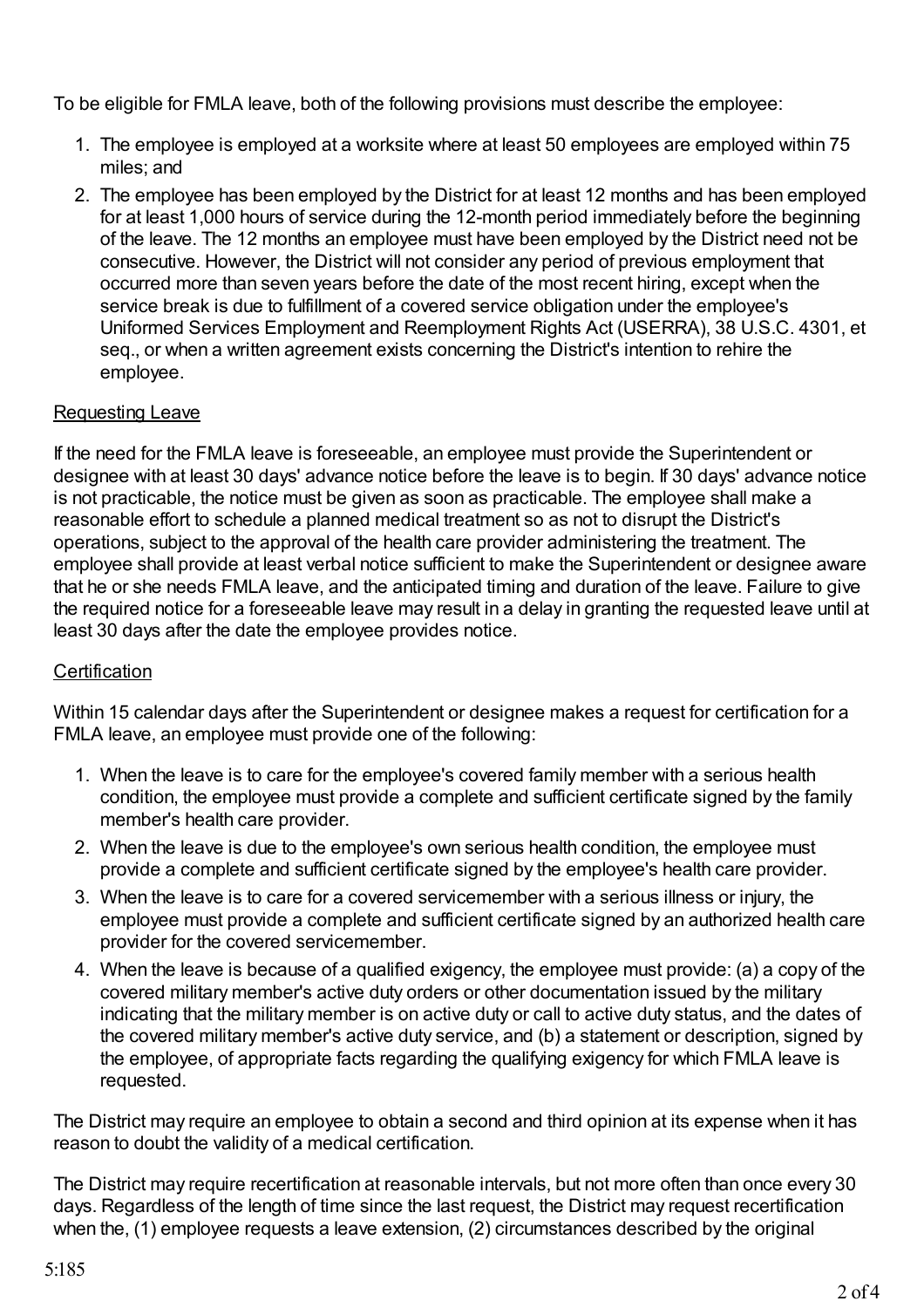To be eligible for FMLA leave, both of the following provisions must describe the employee:

- 1. The employee is employed at a worksite where at least 50 employees are employed within 75 miles; and
- 2. The employee has been employed by the District for at least 12 months and has been employed for at least 1,000 hours of service during the 12-month period immediately before the beginning of the leave. The 12 months an employee must have been employed by the District need not be consecutive. However, the District will not consider any period of previous employment that occurred more than seven years before the date of the most recent hiring, except when the service break is due to fulfillment of a covered service obligation under the employee's Uniformed Services Employment and Reemployment Rights Act (USERRA), 38 U.S.C. 4301, et seq., or when a written agreement exists concerning the District's intention to rehire the employee.

## Requesting Leave

If the need for the FMLA leave is foreseeable, an employee must provide the Superintendent or designee with at least 30 days' advance notice before the leave is to begin. If 30 days' advance notice is not practicable, the notice must be given as soon as practicable. The employee shall make a reasonable effort to schedule a planned medical treatment so as not to disrupt the District's operations, subject to the approval of the health care provider administering the treatment. The employee shall provide at least verbal notice sufficient to make the Superintendent or designee aware that he or she needs FMLA leave, and the anticipated timing and duration of the leave. Failure to give the required notice for a foreseeable leave may result in a delay in granting the requested leave until at least 30 days after the date the employee provides notice.

## **Certification**

Within 15 calendar days after the Superintendent or designee makes a request for certification for a FMLA leave, an employee must provide one of the following:

- 1. When the leave is to care for the employee's covered family member with a serious health condition, the employee must provide a complete and sufficient certificate signed by the family member's health care provider.
- 2. When the leave is due to the employee's own serious health condition, the employee must provide a complete and sufficient certificate signed by the employee's health care provider.
- 3. When the leave is to care for a covered servicemember with a serious illness or injury, the employee must provide a complete and sufficient certificate signed by an authorized health care provider for the covered servicemember.
- 4. When the leave is because of a qualified exigency, the employee must provide: (a) a copy of the covered military member's active duty orders or other documentation issued by the military indicating that the military member is on active duty or call to active duty status, and the dates of the covered military member's active duty service, and (b) a statement or description, signed by the employee, of appropriate facts regarding the qualifying exigency for which FMLA leave is requested.

The District may require an employee to obtain a second and third opinion at its expense when it has reason to doubt the validity of a medical certification.

The District may require recertification at reasonable intervals, but not more often than once every 30 days. Regardless of the length of time since the last request, the District may request recertification when the, (1) employee requests a leave extension, (2) circumstances described by the original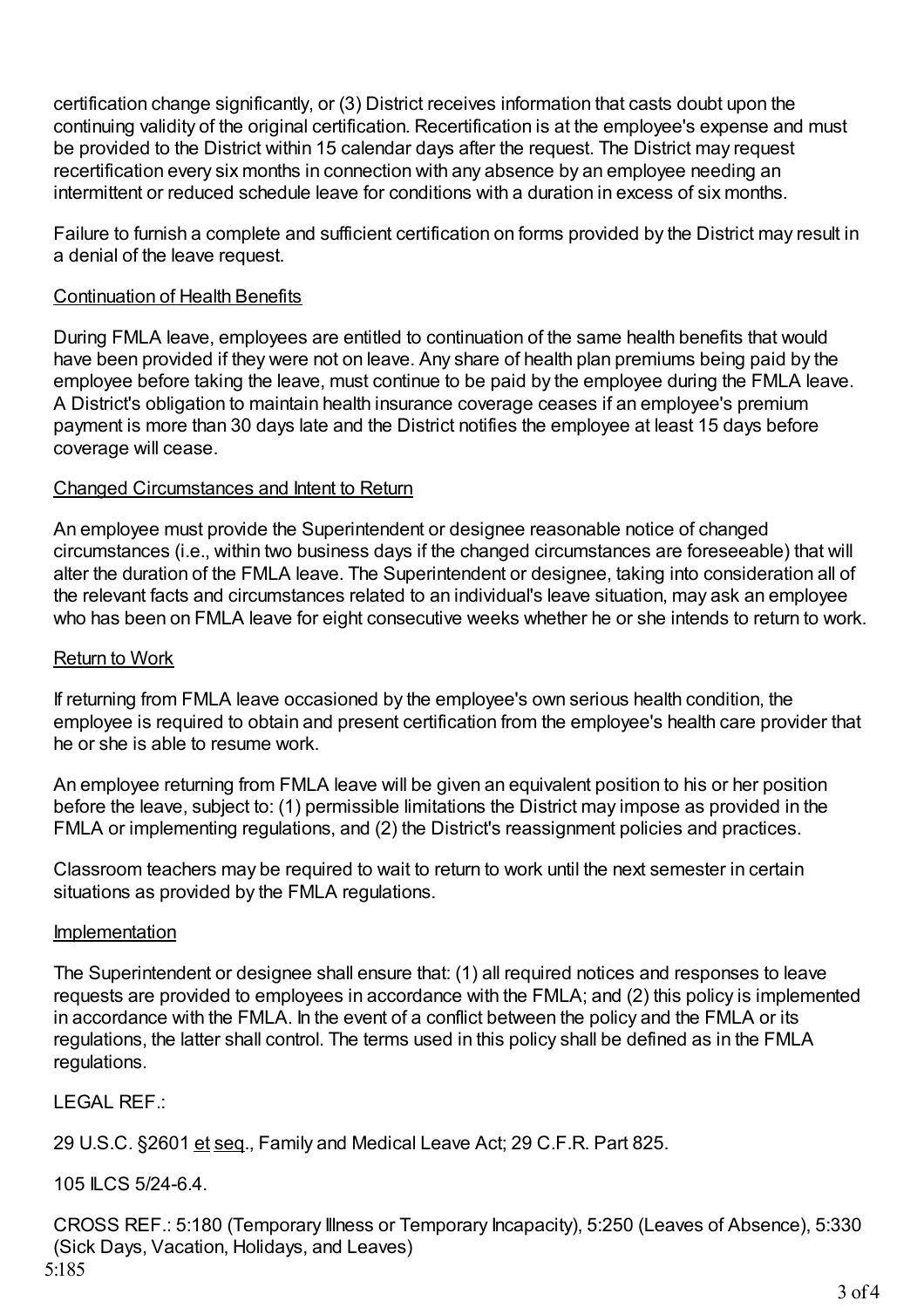certification change significantly, or (3) District receives information that casts doubt upon the continuing validity of the original certification. Recertification is at the employee's expense and must be provided to the District within 15 calendar days after the request. The District may request recertification every six months in connection with any absence by an employee needing an intermittent or reduced schedule leave for conditions with a duration in excess of six months.

Failure to furnish a complete and sufficient certification on forms provided by the District may result in a denial of the leave request.

### Continuation of Health Benefits

During FMLA leave, employees are entitled to continuation of the same health benefits that would have been provided if they were not on leave. Any share of health plan premiums being paid by the employee before taking the leave, must continue to be paid by the employee during the FMLA leave. A District's obligation to maintain health insurance coverage ceases if an employee's premium payment is more than 30 days late and the District notifies the employee at least 15 days before coverage will cease.

#### Changed Circumstances and Intent to Return

An employee must provide the Superintendent or designee reasonable notice of changed circumstances (i.e., within two business days if the changed circumstances are foreseeable) that will alter the duration of the FMLA leave. The Superintendent or designee, taking into consideration all of the relevant facts and circumstances related to an individual's leave situation, may ask an employee who has been on FMLA leave for eight consecutive weeks whether he or she intends to return to work.

#### Return to Work

If returning from FMLA leave occasioned by the employee's own serious health condition, the employee is required to obtain and present certification from the employee's health care provider that he or she is able to resume work.

An employee returning from FMLA leave will be given an equivalent position to his or her position before the leave, subject to: (1) permissible limitations the District may impose as provided in the FMLA or implementing regulations, and (2) the District's reassignment policies and practices.

Classroom teachers may be required to wait to return to work until the next semester in certain situations as provided by the FMLA regulations.

#### Implementation

The Superintendent or designee shall ensure that: (1) all required notices and responses to leave requests are provided to employees in accordance with the FMLA; and (2) this policy is implemented in accordance with the FMLA. In the event of a conflict between the policy and the FMLA or its regulations, the latter shall control. The terms used in this policy shall be defined as in the FMLA regulations.

LEGAL REF.:

29 U.S.C. §2601 et seq., Family and Medical Leave Act; 29 C.F.R. Part 825.

105 ILCS 5/24-6.4.

CROSS REF.: 5:180 (Temporary Illness or Temporary Incapacity), 5:250 (Leaves of Absence), 5:330 (Sick Days, Vacation, Holidays, and Leaves) 5:185